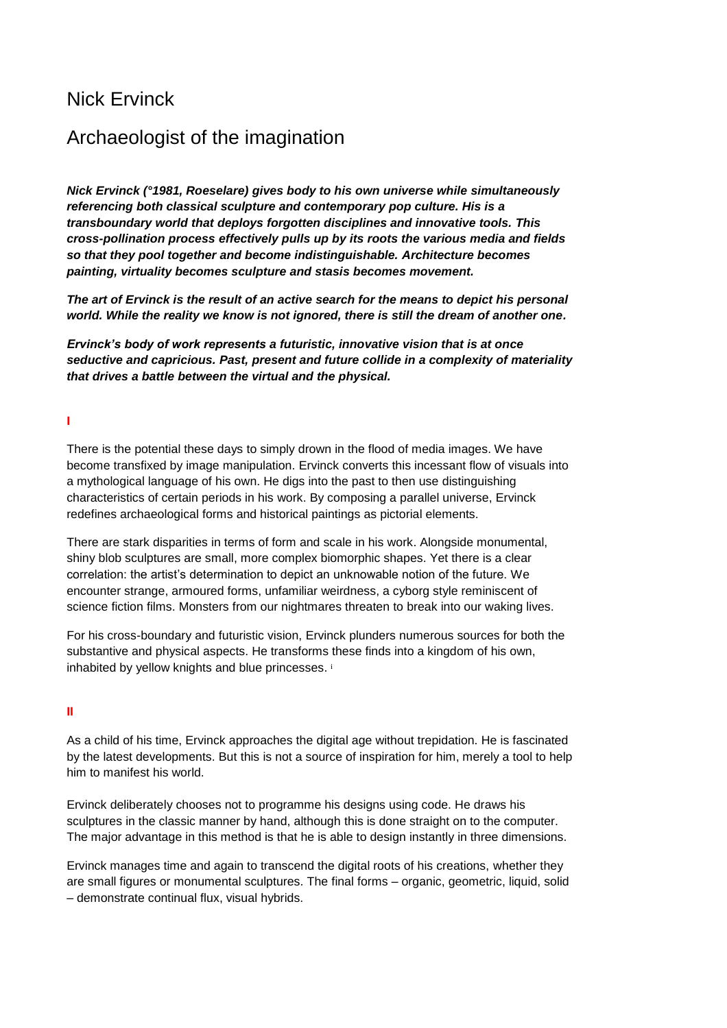# Nick Ervinck

# Archaeologist of the imagination

*Nick Ervinck (°1981, Roeselare) gives body to his own universe while simultaneously referencing both classical sculpture and contemporary pop culture. His is a transboundary world that deploys forgotten disciplines and innovative tools. This cross-pollination process effectively pulls up by its roots the various media and fields so that they pool together and become indistinguishable. Architecture becomes painting, virtuality becomes sculpture and stasis becomes movement.*

*The art of Ervinck is the result of an active search for the means to depict his personal world. While the reality we know is not ignored, there is still the dream of another one.* 

*Ervinck's body of work represents a futuristic, innovative vision that is at once seductive and capricious. Past, present and future collide in a complexity of materiality that drives a battle between the virtual and the physical.* 

## **I**

There is the potential these days to simply drown in the flood of media images. We have become transfixed by image manipulation. Ervinck converts this incessant flow of visuals into a mythological language of his own. He digs into the past to then use distinguishing characteristics of certain periods in his work. By composing a parallel universe, Ervinck redefines archaeological forms and historical paintings as pictorial elements.

There are stark disparities in terms of form and scale in his work. Alongside monumental, shiny blob sculptures are small, more complex biomorphic shapes. Yet there is a clear correlation: the artist's determination to depict an unknowable notion of the future. We encounter strange, armoured forms, unfamiliar weirdness, a cyborg style reminiscent of science fiction films. Monsters from our nightmares threaten to break into our waking lives.

For his cross-boundary and futuristic vision, Ervinck plunders numerous sources for both the substantive and physical aspects. He transforms these finds into a kingdom of his own, inhabited by yellow knights and blue princesses. i

#### **II**

As a child of his time, Ervinck approaches the digital age without trepidation. He is fascinated by the latest developments. But this is not a source of inspiration for him, merely a tool to help him to manifest his world.

Ervinck deliberately chooses not to programme his designs using code. He draws his sculptures in the classic manner by hand, although this is done straight on to the computer. The major advantage in this method is that he is able to design instantly in three dimensions.

Ervinck manages time and again to transcend the digital roots of his creations, whether they are small figures or monumental sculptures. The final forms – organic, geometric, liquid, solid – demonstrate continual flux, visual hybrids.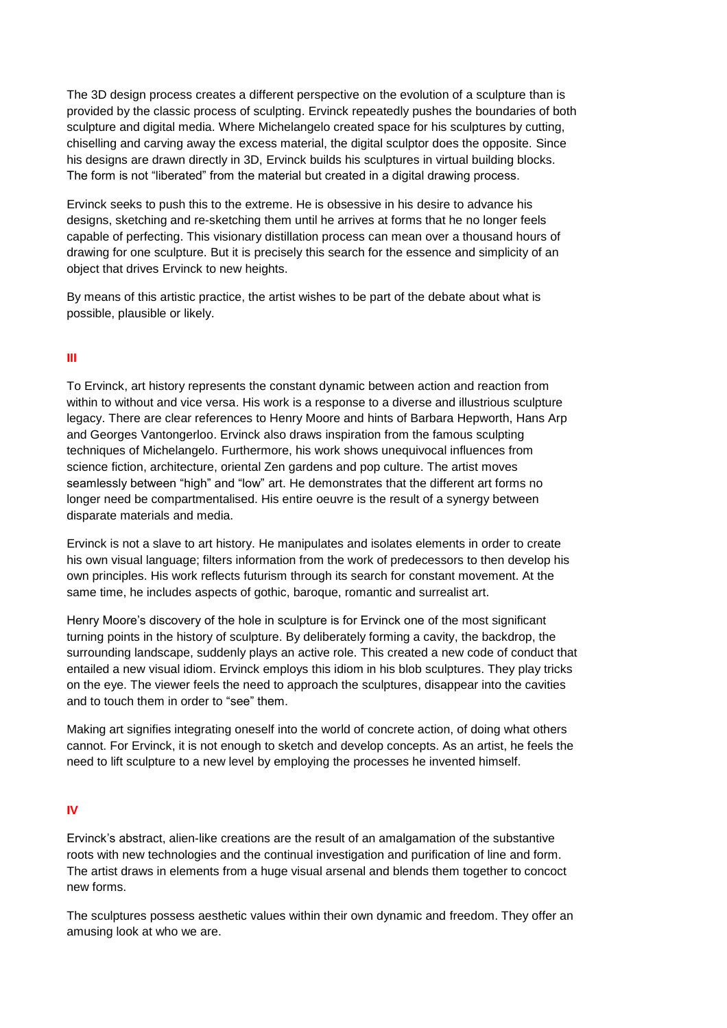The 3D design process creates a different perspective on the evolution of a sculpture than is provided by the classic process of sculpting. Ervinck repeatedly pushes the boundaries of both sculpture and digital media. Where Michelangelo created space for his sculptures by cutting, chiselling and carving away the excess material, the digital sculptor does the opposite. Since his designs are drawn directly in 3D, Ervinck builds his sculptures in virtual building blocks. The form is not "liberated" from the material but created in a digital drawing process.

Ervinck seeks to push this to the extreme. He is obsessive in his desire to advance his designs, sketching and re-sketching them until he arrives at forms that he no longer feels capable of perfecting. This visionary distillation process can mean over a thousand hours of drawing for one sculpture. But it is precisely this search for the essence and simplicity of an object that drives Ervinck to new heights.

By means of this artistic practice, the artist wishes to be part of the debate about what is possible, plausible or likely.

## **III**

To Ervinck, art history represents the constant dynamic between action and reaction from within to without and vice versa. His work is a response to a diverse and illustrious sculpture legacy. There are clear references to Henry Moore and hints of Barbara Hepworth, Hans Arp and Georges Vantongerloo. Ervinck also draws inspiration from the famous sculpting techniques of Michelangelo. Furthermore, his work shows unequivocal influences from science fiction, architecture, oriental Zen gardens and pop culture. The artist moves seamlessly between "high" and "low" art. He demonstrates that the different art forms no longer need be compartmentalised. His entire oeuvre is the result of a synergy between disparate materials and media.

Ervinck is not a slave to art history. He manipulates and isolates elements in order to create his own visual language; filters information from the work of predecessors to then develop his own principles. His work reflects futurism through its search for constant movement. At the same time, he includes aspects of gothic, baroque, romantic and surrealist art.

Henry Moore's discovery of the hole in sculpture is for Ervinck one of the most significant turning points in the history of sculpture. By deliberately forming a cavity, the backdrop, the surrounding landscape, suddenly plays an active role. This created a new code of conduct that entailed a new visual idiom. Ervinck employs this idiom in his blob sculptures. They play tricks on the eye. The viewer feels the need to approach the sculptures, disappear into the cavities and to touch them in order to "see" them.

Making art signifies integrating oneself into the world of concrete action, of doing what others cannot. For Ervinck, it is not enough to sketch and develop concepts. As an artist, he feels the need to lift sculpture to a new level by employing the processes he invented himself.

#### **IV**

Ervinck's abstract, alien-like creations are the result of an amalgamation of the substantive roots with new technologies and the continual investigation and purification of line and form. The artist draws in elements from a huge visual arsenal and blends them together to concoct new forms.

The sculptures possess aesthetic values within their own dynamic and freedom. They offer an amusing look at who we are.